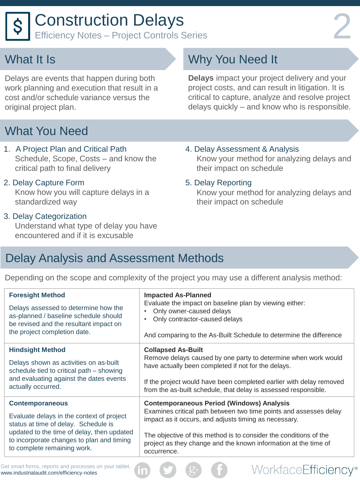Delays are events that happen during both work planning and execution that result in a cost and/or schedule variance versus the original project plan.

## What You Need

#### 1. A Project Plan and Critical Path Schedule, Scope, Costs – and know the critical path to final delivery

2. Delay Capture Form Know how you will capture delays in a standardized way

### 3. Delay Categorization

 Understand what type of delay you have encountered and if it is excusable

# Why You Need It

**Delays** impact your project delivery and your project costs, and can result in litigation. It is critical to capture, analyze and resolve project delays quickly – and know who is responsible.

4. Delay Assessment & Analysis Know your method for analyzing delays and their impact on schedule

#### 5. Delay Reporting

 Know your method for analyzing delays and their impact on schedule

WorkfaceEfficiency®

### Delay Analysis and Assessment Methods

Depending on the scope and complexity of the project you may use a different analysis method:

| <b>Foresight Method</b>                    | <b>Impacted As-Planned</b>                                          |
|--------------------------------------------|---------------------------------------------------------------------|
| Delays assessed to determine how the       | Evaluate the impact on baseline plan by viewing either:             |
| as-planned / baseline schedule should      | Only owner-caused delays                                            |
| be revised and the resultant impact on     | Only contractor-caused delays                                       |
| the project completion date.               | And comparing to the As-Built Schedule to determine the difference  |
| <b>Hindsight Method</b>                    | <b>Collapsed As-Built</b>                                           |
| Delays shown as activities on as-built     | Remove delays caused by one party to determine when work would      |
| schedule tied to critical path - showing   | have actually been completed if not for the delays.                 |
| and evaluating against the dates events    | If the project would have been completed earlier with delay removed |
| actually occurred.                         | from the as-built schedule, that delay is assessed responsible.     |
| <b>Contemporaneous</b>                     | <b>Contemporaneous Period (Windows) Analysis</b>                    |
| Evaluate delays in the context of project  | Examines critical path between two time points and assesses delay   |
| status at time of delay. Schedule is       | impact as it occurs, and adjusts timing as necessary.               |
| updated to the time of delay, then updated | The objective of this method is to consider the conditions of the   |
| to incorporate changes to plan and timing  | project as they change and the known information at the time of     |
| to complete remaining work.                | occurrence.                                                         |

Get smart forms, reports and processes on your tablet. www.industrialaudit.com/efficiency-notes